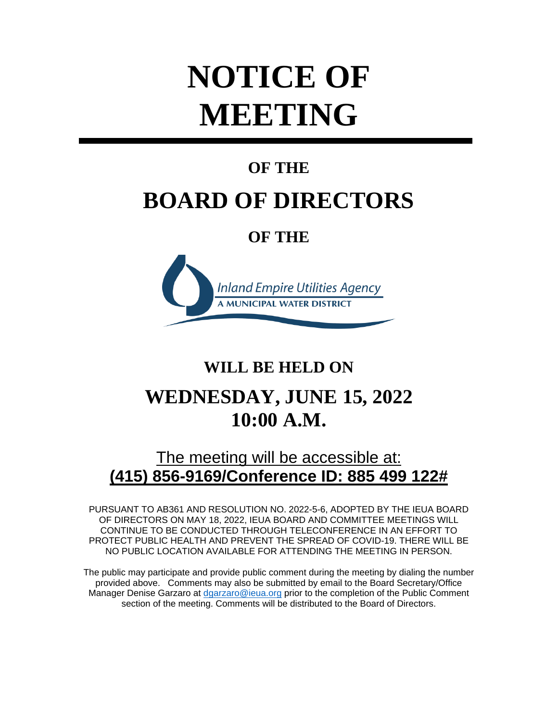# **NOTICE OF MEETING**

## **OF THE**

## **BOARD OF DIRECTORS**

## **OF THE**



## **WILL BE HELD ON**

## **WEDNESDAY, JUNE 15, 2022 10:00 A.M.**

## The meeting will be accessible at: **(415) 856-9169/Conference ID: 885 499 122#**

PURSUANT TO AB361 AND RESOLUTION NO. 2022-5-6, ADOPTED BY THE IEUA BOARD OF DIRECTORS ON MAY 18, 2022, IEUA BOARD AND COMMITTEE MEETINGS WILL CONTINUE TO BE CONDUCTED THROUGH TELECONFERENCE IN AN EFFORT TO PROTECT PUBLIC HEALTH AND PREVENT THE SPREAD OF COVID-19. THERE WILL BE NO PUBLIC LOCATION AVAILABLE FOR ATTENDING THE MEETING IN PERSON.

The public may participate and provide public comment during the meeting by dialing the number provided above. Comments may also be submitted by email to the Board Secretary/Office Manager Denise Garzaro at [dgarzaro@ieua.org](mailto:dgarzaro@ieua.org) prior to the completion of the Public Comment section of the meeting. Comments will be distributed to the Board of Directors.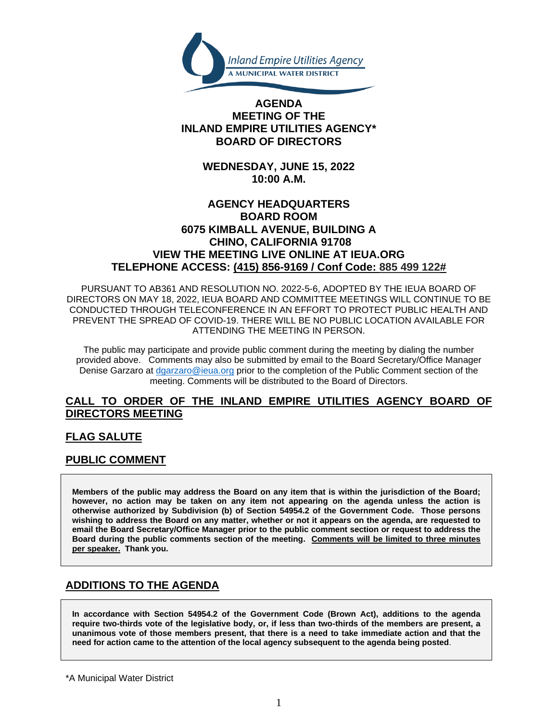

#### **AGENDA MEETING OF THE INLAND EMPIRE UTILITIES AGENCY\* BOARD OF DIRECTORS**

**WEDNESDAY, JUNE 15, 2022 10:00 A.M.**

#### **AGENCY HEADQUARTERS BOARD ROOM 6075 KIMBALL AVENUE, BUILDING A CHINO, CALIFORNIA 91708 VIEW THE MEETING LIVE ONLINE AT IEUA.ORG TELEPHONE ACCESS: (415) 856-9169 / Conf Code: 885 499 122#**

PURSUANT TO AB361 AND RESOLUTION NO. 2022-5-6, ADOPTED BY THE IEUA BOARD OF DIRECTORS ON MAY 18, 2022, IEUA BOARD AND COMMITTEE MEETINGS WILL CONTINUE TO BE CONDUCTED THROUGH TELECONFERENCE IN AN EFFORT TO PROTECT PUBLIC HEALTH AND PREVENT THE SPREAD OF COVID-19. THERE WILL BE NO PUBLIC LOCATION AVAILABLE FOR ATTENDING THE MEETING IN PERSON.

The public may participate and provide public comment during the meeting by dialing the number provided above. Comments may also be submitted by email to the Board Secretary/Office Manager Denise Garzaro at [dgarzaro@ieua.org](mailto:dgarzaro@ieua.org) prior to the completion of the Public Comment section of the meeting. Comments will be distributed to the Board of Directors.

#### **CALL TO ORDER OF THE INLAND EMPIRE UTILITIES AGENCY BOARD OF DIRECTORS MEETING**

#### **FLAG SALUTE**

#### **PUBLIC COMMENT**

**Members of the public may address the Board on any item that is within the jurisdiction of the Board; however, no action may be taken on any item not appearing on the agenda unless the action is otherwise authorized by Subdivision (b) of Section 54954.2 of the Government Code. Those persons wishing to address the Board on any matter, whether or not it appears on the agenda, are requested to email the Board Secretary/Office Manager prior to the public comment section or request to address the Board during the public comments section of the meeting. Comments will be limited to three minutes per speaker. Thank you.**

#### **ADDITIONS TO THE AGENDA**

**In accordance with Section 54954.2 of the Government Code (Brown Act), additions to the agenda require two-thirds vote of the legislative body, or, if less than two-thirds of the members are present, a unanimous vote of those members present, that there is a need to take immediate action and that the need for action came to the attention of the local agency subsequent to the agenda being posted**.

\*A Municipal Water District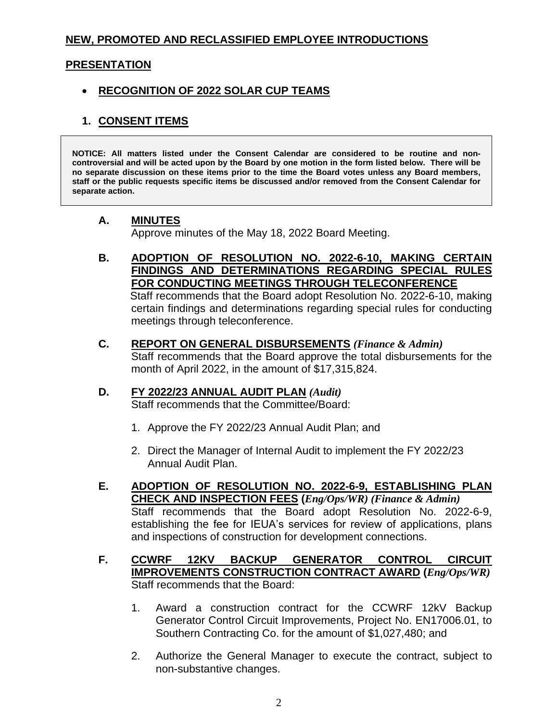#### **NEW, PROMOTED AND RECLASSIFIED EMPLOYEE INTRODUCTIONS**

#### **PRESENTATION**

#### • **RECOGNITION OF 2022 SOLAR CUP TEAMS**

#### **1. CONSENT ITEMS**

**NOTICE: All matters listed under the Consent Calendar are considered to be routine and noncontroversial and will be acted upon by the Board by one motion in the form listed below. There will be no separate discussion on these items prior to the time the Board votes unless any Board members, staff or the public requests specific items be discussed and/or removed from the Consent Calendar for separate action.**

#### **A. MINUTES**

Approve minutes of the May 18, 2022 Board Meeting.

**B. ADOPTION OF RESOLUTION NO. 2022-6-10, MAKING CERTAIN FINDINGS AND DETERMINATIONS REGARDING SPECIAL RULES FOR CONDUCTING MEETINGS THROUGH TELECONFERENCE** Staff recommends that the Board adopt Resolution No. 2022-6-10, making certain findings and determinations regarding special rules for conducting

meetings through teleconference.

**C. REPORT ON GENERAL DISBURSEMENTS** *(Finance & Admin)*

Staff recommends that the Board approve the total disbursements for the month of April 2022, in the amount of \$17,315,824.

#### **D. FY 2022/23 ANNUAL AUDIT PLAN** *(Audit)*

Staff recommends that the Committee/Board:

- 1. Approve the FY 2022/23 Annual Audit Plan; and
- 2. Direct the Manager of Internal Audit to implement the FY 2022/23 Annual Audit Plan.
- **E. ADOPTION OF RESOLUTION NO. 2022-6-9, ESTABLISHING PLAN CHECK AND INSPECTION FEES (***Eng/Ops/WR) (Finance & Admin)* Staff recommends that the Board adopt Resolution No. 2022-6-9, establishing the fee for IEUA's services for review of applications, plans and inspections of construction for development connections.
- **F. CCWRF 12KV BACKUP GENERATOR CONTROL CIRCUIT IMPROVEMENTS CONSTRUCTION CONTRACT AWARD (***Eng/Ops/WR)* Staff recommends that the Board:
	- 1. Award a construction contract for the CCWRF 12kV Backup Generator Control Circuit Improvements, Project No. EN17006.01, to Southern Contracting Co. for the amount of \$1,027,480; and
	- 2. Authorize the General Manager to execute the contract, subject to non-substantive changes.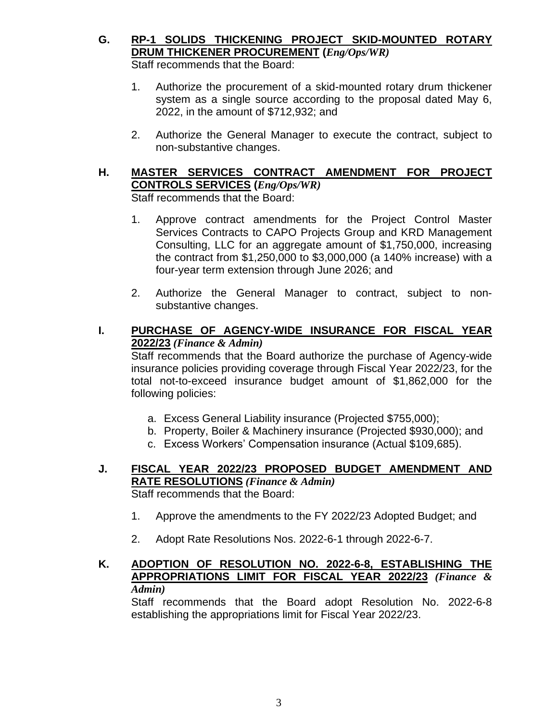- **G. RP-1 SOLIDS THICKENING PROJECT SKID-MOUNTED ROTARY DRUM THICKENER PROCUREMENT (***Eng/Ops/WR)* Staff recommends that the Board:
	-
	- 1. Authorize the procurement of a skid-mounted rotary drum thickener system as a single source according to the proposal dated May 6, 2022, in the amount of \$712,932; and
	- 2. Authorize the General Manager to execute the contract, subject to non-substantive changes.

#### **H. MASTER SERVICES CONTRACT AMENDMENT FOR PROJECT CONTROLS SERVICES (***Eng/Ops/WR)* Staff recommends that the Board:

- 1. Approve contract amendments for the Project Control Master Services Contracts to CAPO Projects Group and KRD Management Consulting, LLC for an aggregate amount of \$1,750,000, increasing the contract from \$1,250,000 to \$3,000,000 (a 140% increase) with a four-year term extension through June 2026; and
- 2. Authorize the General Manager to contract, subject to nonsubstantive changes.

#### **I. PURCHASE OF AGENCY-WIDE INSURANCE FOR FISCAL YEAR 2022/23** *(Finance & Admin)*

Staff recommends that the Board authorize the purchase of Agency-wide insurance policies providing coverage through Fiscal Year 2022/23, for the total not-to-exceed insurance budget amount of \$1,862,000 for the following policies:

- a. Excess General Liability insurance (Projected \$755,000);
- b. Property, Boiler & Machinery insurance (Projected \$930,000); and
- c. Excess Workers' Compensation insurance (Actual \$109,685).
- **J. FISCAL YEAR 2022/23 PROPOSED BUDGET AMENDMENT AND RATE RESOLUTIONS** *(Finance & Admin)* Staff recommends that the Board:
	- 1. Approve the amendments to the FY 2022/23 Adopted Budget; and
	- 2. Adopt Rate Resolutions Nos. 2022-6-1 through 2022-6-7.

#### **K. ADOPTION OF RESOLUTION NO. 2022-6-8, ESTABLISHING THE APPROPRIATIONS LIMIT FOR FISCAL YEAR 2022/23** *(Finance & Admin)*

Staff recommends that the Board adopt Resolution No. 2022-6-8 establishing the appropriations limit for Fiscal Year 2022/23.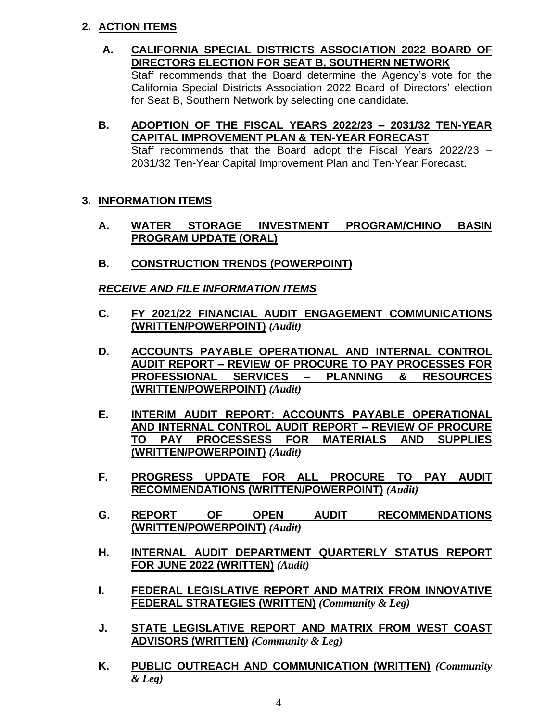#### **2. ACTION ITEMS**

- **A. CALIFORNIA SPECIAL DISTRICTS ASSOCIATION 2022 BOARD OF DIRECTORS ELECTION FOR SEAT B, SOUTHERN NETWORK** Staff recommends that the Board determine the Agency's vote for the California Special Districts Association 2022 Board of Directors' election for Seat B, Southern Network by selecting one candidate.
- **B. ADOPTION OF THE FISCAL YEARS 2022/23 – 2031/32 TEN-YEAR CAPITAL IMPROVEMENT PLAN & TEN-YEAR FORECAST** Staff recommends that the Board adopt the Fiscal Years 2022/23 – 2031/32 Ten-Year Capital Improvement Plan and Ten-Year Forecast.

#### **3. INFORMATION ITEMS**

- **A. WATER STORAGE INVESTMENT PROGRAM/CHINO BASIN PROGRAM UPDATE (ORAL)**
- **B. CONSTRUCTION TRENDS (POWERPOINT)**

*RECEIVE AND FILE INFORMATION ITEMS*

- **C. FY 2021/22 FINANCIAL AUDIT ENGAGEMENT COMMUNICATIONS (WRITTEN/POWERPOINT)** *(Audit)*
- **D. ACCOUNTS PAYABLE OPERATIONAL AND INTERNAL CONTROL AUDIT REPORT – REVIEW OF PROCURE TO PAY PROCESSES FOR PROFESSIONAL SERVICES – PLANNING & RESOURCES (WRITTEN/POWERPOINT)** *(Audit)*
- **E. INTERIM AUDIT REPORT: ACCOUNTS PAYABLE OPERATIONAL AND INTERNAL CONTROL AUDIT REPORT – REVIEW OF PROCURE TO PAY PROCESSESS FOR MATERIALS AND SUPPLIES (WRITTEN/POWERPOINT)** *(Audit)*
- **F. PROGRESS UPDATE FOR ALL PROCURE TO PAY AUDIT RECOMMENDATIONS (WRITTEN/POWERPOINT)** *(Audit)*
- **G. REPORT OF OPEN AUDIT RECOMMENDATIONS (WRITTEN/POWERPOINT)** *(Audit)*
- **H. INTERNAL AUDIT DEPARTMENT QUARTERLY STATUS REPORT FOR JUNE 2022 (WRITTEN)** *(Audit)*
- **I. FEDERAL LEGISLATIVE REPORT AND MATRIX FROM INNOVATIVE FEDERAL STRATEGIES (WRITTEN)** *(Community & Leg)*
- **J. STATE LEGISLATIVE REPORT AND MATRIX FROM WEST COAST ADVISORS (WRITTEN)** *(Community & Leg)*
- **K. PUBLIC OUTREACH AND COMMUNICATION (WRITTEN)** *(Community & Leg)*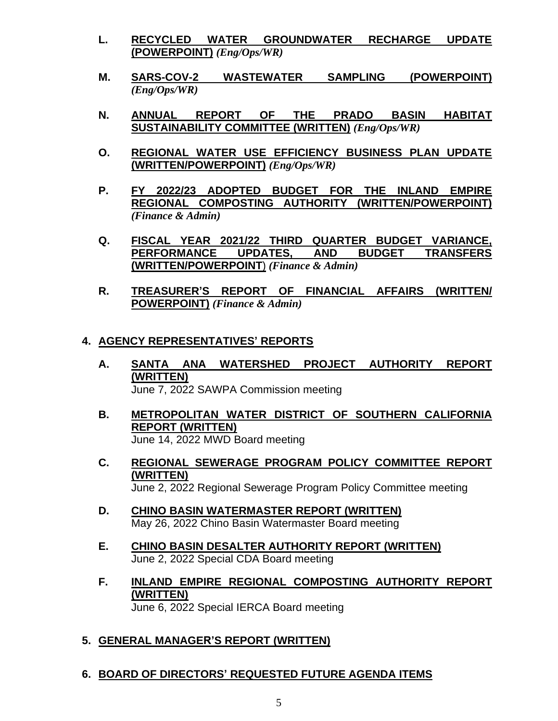- **L. RECYCLED WATER GROUNDWATER RECHARGE UPDATE (POWERPOINT)** *(Eng/Ops/WR)*
- **M. SARS-COV-2 WASTEWATER SAMPLING (POWERPOINT)** *(Eng/Ops/WR)*
- **N. ANNUAL REPORT OF THE PRADO BASIN HABITAT SUSTAINABILITY COMMITTEE (WRITTEN)** *(Eng/Ops/WR)*
- **O. REGIONAL WATER USE EFFICIENCY BUSINESS PLAN UPDATE (WRITTEN/POWERPOINT)** *(Eng/Ops/WR)*
- **P. FY 2022/23 ADOPTED BUDGET FOR THE INLAND EMPIRE REGIONAL COMPOSTING AUTHORITY (WRITTEN/POWERPOINT)** *(Finance & Admin)*
- **Q. FISCAL YEAR 2021/22 THIRD QUARTER BUDGET VARIANCE, PERFORMANCE UPDATES, AND BUDGET TRANSFERS (WRITTEN/POWERPOINT**) *(Finance & Admin)*
- **R. TREASURER'S REPORT OF FINANCIAL AFFAIRS (WRITTEN/ POWERPOINT)** *(Finance & Admin)*

#### **4. AGENCY REPRESENTATIVES' REPORTS**

- **A. SANTA ANA WATERSHED PROJECT AUTHORITY REPORT (WRITTEN)** June 7, 2022 SAWPA Commission meeting
- **B. METROPOLITAN WATER DISTRICT OF SOUTHERN CALIFORNIA REPORT (WRITTEN)** June 14, 2022 MWD Board meeting
- **C. REGIONAL SEWERAGE PROGRAM POLICY COMMITTEE REPORT (WRITTEN)** June 2, 2022 Regional Sewerage Program Policy Committee meeting
- **D. CHINO BASIN WATERMASTER REPORT (WRITTEN)** May 26, 2022 Chino Basin Watermaster Board meeting
- **E. CHINO BASIN DESALTER AUTHORITY REPORT (WRITTEN)** June 2, 2022 Special CDA Board meeting
- **F. INLAND EMPIRE REGIONAL COMPOSTING AUTHORITY REPORT (WRITTEN)** June 6, 2022 Special IERCA Board meeting

#### **5. GENERAL MANAGER'S REPORT (WRITTEN)**

#### **6. BOARD OF DIRECTORS' REQUESTED FUTURE AGENDA ITEMS**